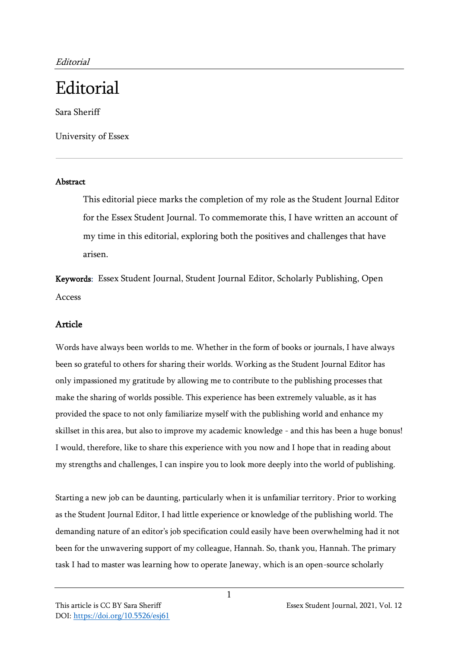## **Editorial**

Sara Sheriff

University of Essex

## Abstract

This editorial piece marks the completion of my role as the Student Journal Editor for the Essex Student Journal. To commemorate this, I have written an account of my time in this editorial, exploring both the positives and challenges that have arisen.

Keywords: Essex Student Journal, Student Journal Editor, Scholarly Publishing, Open Access

## Article

Words have always been worlds to me. Whether in the form of books or journals, I have always been so grateful to others for sharing their worlds. Working as the Student Journal Editor has only impassioned my gratitude by allowing me to contribute to the publishing processes that make the sharing of worlds possible. This experience has been extremely valuable, as it has provided the space to not only familiarize myself with the publishing world and enhance my skillset in this area, but also to improve my academic knowledge - and this has been a huge bonus! I would, therefore, like to share this experience with you now and I hope that in reading about my strengths and challenges, I can inspire you to look more deeply into the world of publishing.

Starting a new job can be daunting, particularly when it is unfamiliar territory. Prior to working as the Student Journal Editor, I had little experience or knowledge of the publishing world. The demanding nature of an editor's job specification could easily have been overwhelming had it not been for the unwavering support of my colleague, Hannah. So, thank you, Hannah. The primary task I had to master was learning how to operate Janeway, which is an open-source scholarly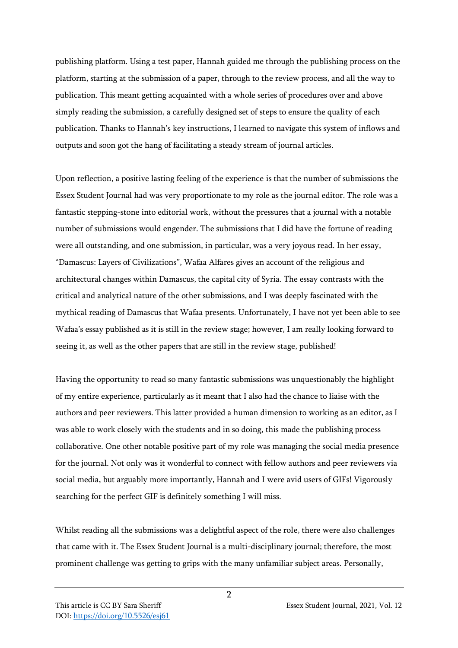publishing platform. Using a test paper, Hannah guided me through the publishing process on the platform, starting at the submission of a paper, through to the review process, and all the way to publication. This meant getting acquainted with a whole series of procedures over and above simply reading the submission, a carefully designed set of steps to ensure the quality of each publication. Thanks to Hannah's key instructions, I learned to navigate this system of inflows and outputs and soon got the hang of facilitating a steady stream of journal articles.

Upon reflection, a positive lasting feeling of the experience is that the number of submissions the Essex Student Journal had was very proportionate to my role as the journal editor. The role was a fantastic stepping-stone into editorial work, without the pressures that a journal with a notable number of submissions would engender. The submissions that I did have the fortune of reading were all outstanding, and one submission, in particular, was a very joyous read. In her essay, "Damascus: Layers of Civilizations", Wafaa Alfares gives an account of the religious and architectural changes within Damascus, the capital city of Syria. The essay contrasts with the critical and analytical nature of the other submissions, and I was deeply fascinated with the mythical reading of Damascus that Wafaa presents. Unfortunately, I have not yet been able to see Wafaa's essay published as it is still in the review stage; however, I am really looking forward to seeing it, as well as the other papers that are still in the review stage, published!

Having the opportunity to read so many fantastic submissions was unquestionably the highlight of my entire experience, particularly as it meant that I also had the chance to liaise with the authors and peer reviewers. This latter provided a human dimension to working as an editor, as I was able to work closely with the students and in so doing, this made the publishing process collaborative. One other notable positive part of my role was managing the social media presence for the journal. Not only was it wonderful to connect with fellow authors and peer reviewers via social media, but arguably more importantly, Hannah and I were avid users of GIFs! Vigorously searching for the perfect GIF is definitely something I will miss.

Whilst reading all the submissions was a delightful aspect of the role, there were also challenges that came with it. The Essex Student Journal is a multi-disciplinary journal; therefore, the most prominent challenge was getting to grips with the many unfamiliar subject areas. Personally,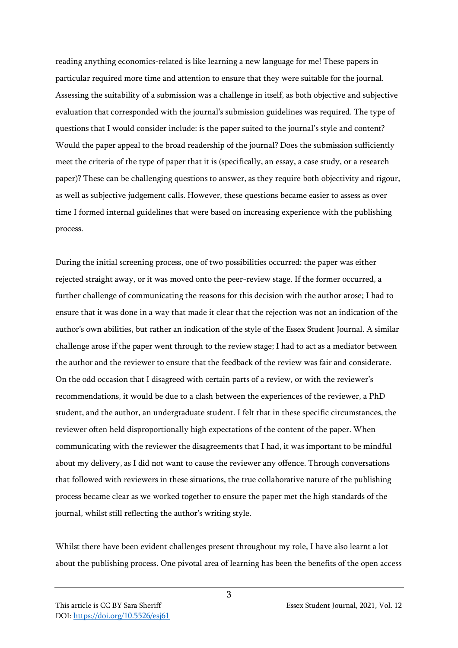reading anything economics-related is like learning a new language for me! These papers in particular required more time and attention to ensure that they were suitable for the journal. Assessing the suitability of a submission was a challenge in itself, as both objective and subjective evaluation that corresponded with the journal's submission guidelines was required. The type of questions that I would consider include: is the paper suited to the journal's style and content? Would the paper appeal to the broad readership of the journal? Does the submission sufficiently meet the criteria of the type of paper that it is (specifically, an essay, a case study, or a research paper)? These can be challenging questions to answer, as they require both objectivity and rigour, as well as subjective judgement calls. However, these questions became easier to assess as over time I formed internal guidelines that were based on increasing experience with the publishing process.

During the initial screening process, one of two possibilities occurred: the paper was either rejected straight away, or it was moved onto the peer-review stage. If the former occurred, a further challenge of communicating the reasons for this decision with the author arose; I had to ensure that it was done in a way that made it clear that the rejection was not an indication of the author's own abilities, but rather an indication of the style of the Essex Student Journal. A similar challenge arose if the paper went through to the review stage; I had to act as a mediator between the author and the reviewer to ensure that the feedback of the review was fair and considerate. On the odd occasion that I disagreed with certain parts of a review, or with the reviewer's recommendations, it would be due to a clash between the experiences of the reviewer, a PhD student, and the author, an undergraduate student. I felt that in these specific circumstances, the reviewer often held disproportionally high expectations of the content of the paper. When communicating with the reviewer the disagreements that I had, it was important to be mindful about my delivery, as I did not want to cause the reviewer any offence. Through conversations that followed with reviewers in these situations, the true collaborative nature of the publishing process became clear as we worked together to ensure the paper met the high standards of the journal, whilst still reflecting the author's writing style.

Whilst there have been evident challenges present throughout my role, I have also learnt a lot about the publishing process. One pivotal area of learning has been the benefits of the open access

3